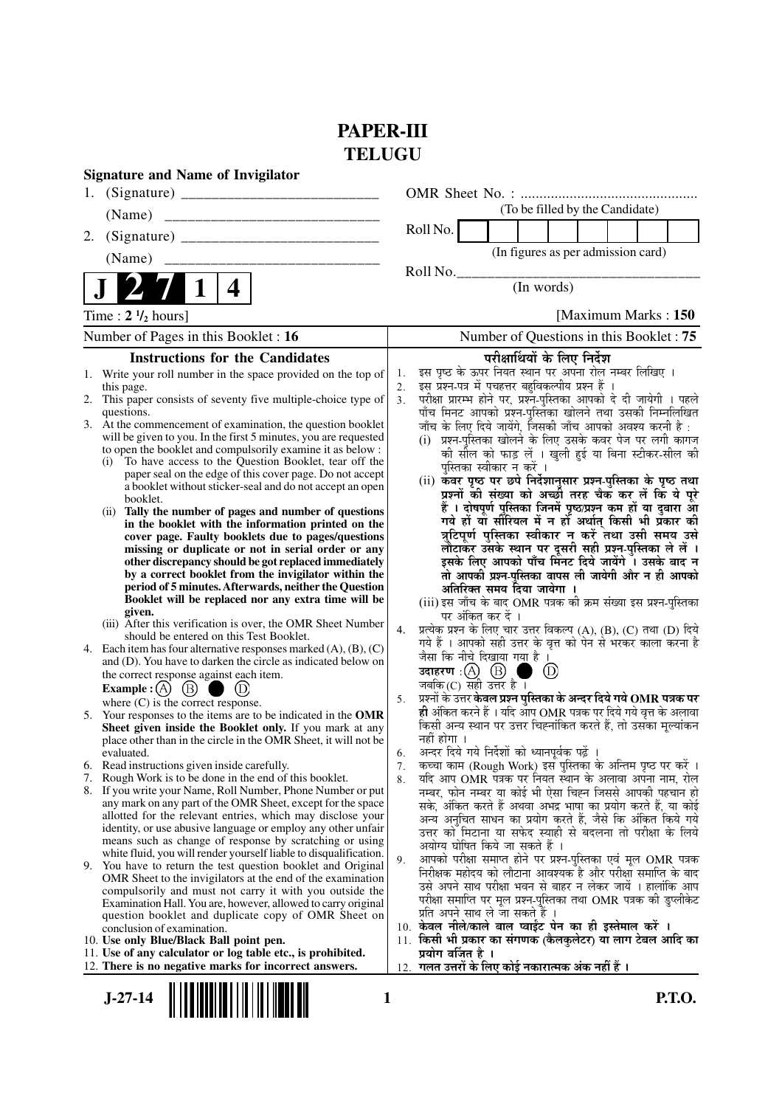### **PAPER-III TELUGU**

| <b>Signature and Name of Invigilator</b>                                                                |     |                                                                                                                                   |                      |                                                                                                                                    |
|---------------------------------------------------------------------------------------------------------|-----|-----------------------------------------------------------------------------------------------------------------------------------|----------------------|------------------------------------------------------------------------------------------------------------------------------------|
| 1.                                                                                                      |     |                                                                                                                                   |                      |                                                                                                                                    |
| (Name)                                                                                                  |     |                                                                                                                                   |                      | (To be filled by the Candidate)                                                                                                    |
| 2.                                                                                                      |     |                                                                                                                                   |                      | Roll No.                                                                                                                           |
| (Name)                                                                                                  |     |                                                                                                                                   |                      | (In figures as per admission card)                                                                                                 |
|                                                                                                         |     |                                                                                                                                   |                      | Roll No.                                                                                                                           |
|                                                                                                         | 4   |                                                                                                                                   |                      | (In words)                                                                                                                         |
| Time: $2 \frac{1}{2}$ hours]                                                                            |     |                                                                                                                                   |                      | [Maximum Marks: 150]                                                                                                               |
| Number of Pages in this Booklet : 16                                                                    |     |                                                                                                                                   |                      | Number of Questions in this Booklet : 75                                                                                           |
|                                                                                                         |     | <b>Instructions for the Candidates</b>                                                                                            |                      | परीक्षार्थियों के लिए निर्देश                                                                                                      |
|                                                                                                         |     | 1. Write your roll number in the space provided on the top of                                                                     | 1.                   | इस पृष्ठ के ऊपर नियत स्थान पर अपना रोल नम्बर लिखिए ।                                                                               |
| this page.                                                                                              |     | 2. This paper consists of seventy five multiple-choice type of                                                                    | 2.<br>3 <sub>1</sub> | इस प्रश्न-पत्र में पचहत्तर बहुविकल्पीय प्रश्न हैं<br>परीक्षा प्रारम्भ होने पर, प्रश्न-पुस्तिका आपको दे दी जायेगी । पहले            |
| questions.                                                                                              |     |                                                                                                                                   |                      | पाँच मिनट आपको प्रश्न-पुस्तिका खोलने तथा उसकी निम्नलिखित                                                                           |
|                                                                                                         |     | 3. At the commencement of examination, the question booklet<br>will be given to you. In the first 5 minutes, you are requested    |                      | जाँच के लिए दिये जायेंगे, जिसकी जाँच आपको अवश्य करनी है :<br>(i) प्रश्न-पुस्तिका खोलने के लिए उसके कवर पेज पर लगी कागज             |
|                                                                                                         |     | to open the booklet and compulsorily examine it as below :                                                                        |                      | की सील को फाड़ लें । खुली हुई या बिना स्टीकर-सील की                                                                                |
|                                                                                                         |     | (i) To have access to the Question Booklet, tear off the<br>paper seal on the edge of this cover page. Do not accept              |                      | पस्तिका स्वीकार न करें ।                                                                                                           |
|                                                                                                         |     | a booklet without sticker-seal and do not accept an open                                                                          |                      | (ii) कवर पृष्ठ पर छपे निर्देशानुसार प्रश्न-पुस्तिका के पृष्ठ तथा                                                                   |
| booklet.                                                                                                |     |                                                                                                                                   |                      | प्रश्नों की संख्या को अच्छी तरह चैक कर लें कि ये पूरे<br>हैं । दोषपूर्ण पुस्तिका जिनमें पृष्ठ/प्रश्न कम हों या दुबारा आ            |
|                                                                                                         |     | (ii) Tally the number of pages and number of questions<br>in the booklet with the information printed on the                      |                      | गये हों या सौरियल में न हों अर्थात् किसी भी प्रॅकार की                                                                             |
|                                                                                                         |     | cover page. Faulty booklets due to pages/questions                                                                                |                      | त्रुटिपूर्ण पुस्तिका स्वीकार न करें तथा उसी समय उसे                                                                                |
|                                                                                                         |     | missing or duplicate or not in serial order or any<br>other discrepancy should be got replaced immediately                        |                      | लौटाकर उसके स्थान पर दूसरी सही प्रश्न-पुस्तिका ले लें ।<br>इसके लिए आपको पाँच मिनट दिये जायेंगे । उसके बाद न                       |
|                                                                                                         |     | by a correct booklet from the invigilator within the                                                                              |                      | तो आपकी प्रश्न-पुस्तिका वापस ली जायेगी और न ही आपको                                                                                |
|                                                                                                         |     | period of 5 minutes. Afterwards, neither the Question                                                                             |                      | अतिरिक्त समय दिया जायेगा ।                                                                                                         |
| given.                                                                                                  |     | Booklet will be replaced nor any extra time will be                                                                               |                      | (iii) इस जाँच के बाद OMR पत्रक की क्रम संख्या इस प्रश्न-पुस्तिका<br>पर अंकित कर दें ।                                              |
|                                                                                                         |     | (iii) After this verification is over, the OMR Sheet Number                                                                       | 4.                   | प्रत्येक प्रश्न के लिए चार उत्तर विकल्प (A), (B), (C) तथा (D) दिये                                                                 |
| should be entered on this Test Booklet.<br>4.                                                           |     | Each item has four alternative responses marked $(A)$ , $(B)$ , $(C)$                                                             |                      | गये हैं । आपको सही उत्तर के वृत्त को पेन से भरकर काला करना है                                                                      |
|                                                                                                         |     | and (D). You have to darken the circle as indicated below on                                                                      |                      | जैसा कि नीचे दिखाया गया है ।<br>(D)                                                                                                |
| the correct response against each item.<br>Example : (A) $(B)$                                          | (D) |                                                                                                                                   |                      | जबकि (C) सही उत्तर है ।                                                                                                            |
| where $(C)$ is the correct response.                                                                    |     |                                                                                                                                   | 5.                   | प्रश्नों के उत्तर <b>केवल प्रश्न पुस्तिका के अन्दर दिये गये OMR पत्रक पर</b>                                                       |
|                                                                                                         |     | 5. Your responses to the items are to be indicated in the OMR                                                                     |                      | ही अंकित करने हैं । यदि आप OMR पत्रक पर दिये गये वृत्त के अलावा<br>किसी अन्य स्थान पर उत्तर चिह्नांकित करते हैं, तो उसका मूल्यांकन |
|                                                                                                         |     | Sheet given inside the Booklet only. If you mark at any<br>place other than in the circle in the OMR Sheet, it will not be        |                      | नहीं होगा ।                                                                                                                        |
| evaluated.                                                                                              |     |                                                                                                                                   | 6.                   | अन्दर दिये गये निर्देशों को ध्यानपूर्वक पढ़ें ।                                                                                    |
| 6. Read instructions given inside carefully.<br>7. Rough Work is to be done in the end of this booklet. |     |                                                                                                                                   | 7.                   | कच्चा काम (Rough Work) इस पुस्तिका के अन्तिम पृष्ठ पर करें ।<br>यदि आप OMR पत्रक पर नियत स्थान के अलावा अपना नाम, रोल              |
|                                                                                                         |     | 8. If you write your Name, Roll Number, Phone Number or put                                                                       | 8.                   | नम्बर, फोन नम्बर या कोई भी ऐसा चिह्न जिससे आपकी पहचान हो                                                                           |
|                                                                                                         |     | any mark on any part of the OMR Sheet, except for the space                                                                       |                      | सके, अंकित करते हैं अथवा अभद्र भाषा का प्रयोग करते हैं, या कोई                                                                     |
|                                                                                                         |     | allotted for the relevant entries, which may disclose your<br>identity, or use abusive language or employ any other unfair        |                      | अन्य अनुचित साधन का प्रयोग करते हैं, जैसे कि अंकित किये गये                                                                        |
|                                                                                                         |     | means such as change of response by scratching or using                                                                           |                      | उत्तर को मिटाना या सफेद स्याही से बदलना तो परीक्षा के लिये<br>अयोग्य घोषित किये जा सकते हैं ।                                      |
|                                                                                                         |     | white fluid, you will render yourself liable to disqualification.<br>9. You have to return the test question booklet and Original | 9.                   | आपको परीक्षा समाप्त होने पर प्रश्न-पुस्तिका एवं मूल OMR पत्रक                                                                      |
|                                                                                                         |     | OMR Sheet to the invigilators at the end of the examination                                                                       |                      | निरीक्षक महोदय को लौटाना आवश्यक है और परीक्षा समाप्ति के बाद                                                                       |
|                                                                                                         |     | compulsorily and must not carry it with you outside the                                                                           |                      | उसे अपने साथ परीक्षा भवन से बाहर न लेकर जायें । हालांकि आप<br>परीक्षा समाप्ति पर मूल प्रश्न-पुस्तिका तथा OMR पत्रक की डुप्लीकेट    |
|                                                                                                         |     | Examination Hall. You are, however, allowed to carry original<br>question booklet and duplicate copy of OMR Sheet on              |                      | प्रति अपने साथ ले जा सकते हैं ।                                                                                                    |
| conclusion of examination.                                                                              |     |                                                                                                                                   |                      | 10. केवल नीले/काले बाल प्वाईंट पेन का ही इस्तेमाल करें ।                                                                           |
| 10. Use only Blue/Black Ball point pen.                                                                 |     | 11. Use of any calculator or log table etc., is prohibited.                                                                       | 11.                  | किसी भी प्रकार का संगणक (कैलकुलेटर) या लाग टेबल आदि का<br>प्रयोग वर्जित है ।                                                       |
| 12. There is no negative marks for incorrect answers.                                                   |     |                                                                                                                                   | 12.                  | गलत उत्तरों के लिए कोई नकारात्मक अंक नहीं हैं ।                                                                                    |
|                                                                                                         |     |                                                                                                                                   |                      |                                                                                                                                    |
| $J-27-14$                                                                                               |     | 1                                                                                                                                 |                      | <b>P.T.O.</b>                                                                                                                      |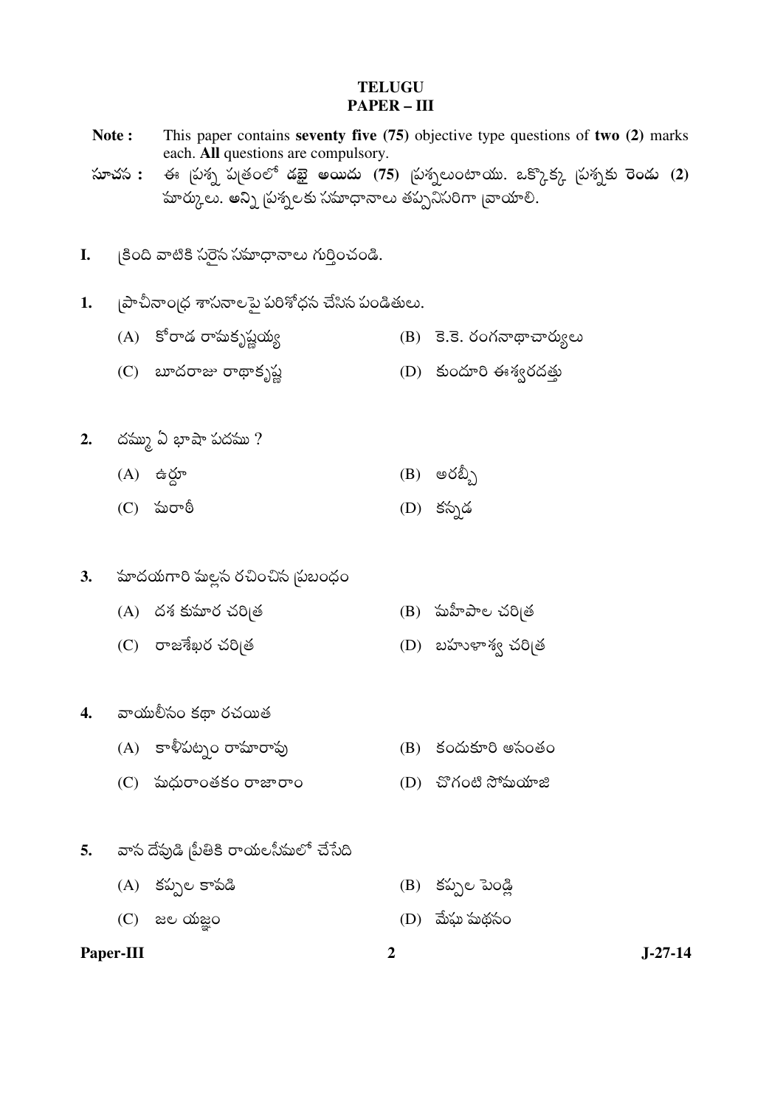#### **TELUGU PAPER - III**

This paper contains seventy five  $(75)$  objective type questions of two  $(2)$  marks

each. All questions are compulsory. ఈ స్రుశ్న పుతంలో డబై అయిదు (75) స్రుశ్నలుంటాయు. ఒక్కొక్క స్రుశ్నకు రెండు (2) సూచస : హర్కులు. అన్ని ప్రశ్నలకు సమాధానాలు తప్పనిసరిగా బ్రాయాలి. ్రకింది వాటికి సరైన సమాధానాలు గుర్తించండి. I. |పాచీనాం|ధ శాసనాలపై పరిశోధన చేసిన పండితులు.  $1.$ (A) కోరాడ రామకృష్ణయ్య  $(B)$  3.3. రంగనాథాచార్యులు (C)  $\omega$ ထံတဆေး တဏ္ေနျွိပ္တဲ့ (D) కుందూరి ఈశ్వరదత్తు 2. దమ్ము ఏ భాషా పదము?  $(A)$  ఉర్దూ  $(B)$  ဗ $\check{\circ}$ ည့်) (D) కస్పడ  $(C)$  మరాఠీ హుదయగారి సుల్లస రచించిస |పబంధం  $\overline{3}$ .  $(A)$  దశ కుమార చరిబత  $(B)$  మహీపాల చరి|త  $(C)$  రాజశేఖర చరిబత  $(D)$  బహుళాశ్వ చరిబత 4. వాయులీసం కథా రచయిత (A) కాళీపట్నం రామారావు  $(B)$  కందుకూరి అసంతం  $(C)$  พ $\omega$ တ $\circ$ oogso တားတ $\circ$ (D) చొగంటి సోమయాజి 5. వాస దేవుడి బీతికి రాయలసీమలో చేసేది  $(A)$  కప్పల కాపడి (B) కప్పల పెండ్లి

 $\overline{2}$ 

 $(C)$  are  $\omega$  and  $C$ (D) మేఘ మథనం

Paper-III

Note:

 $J-27-14$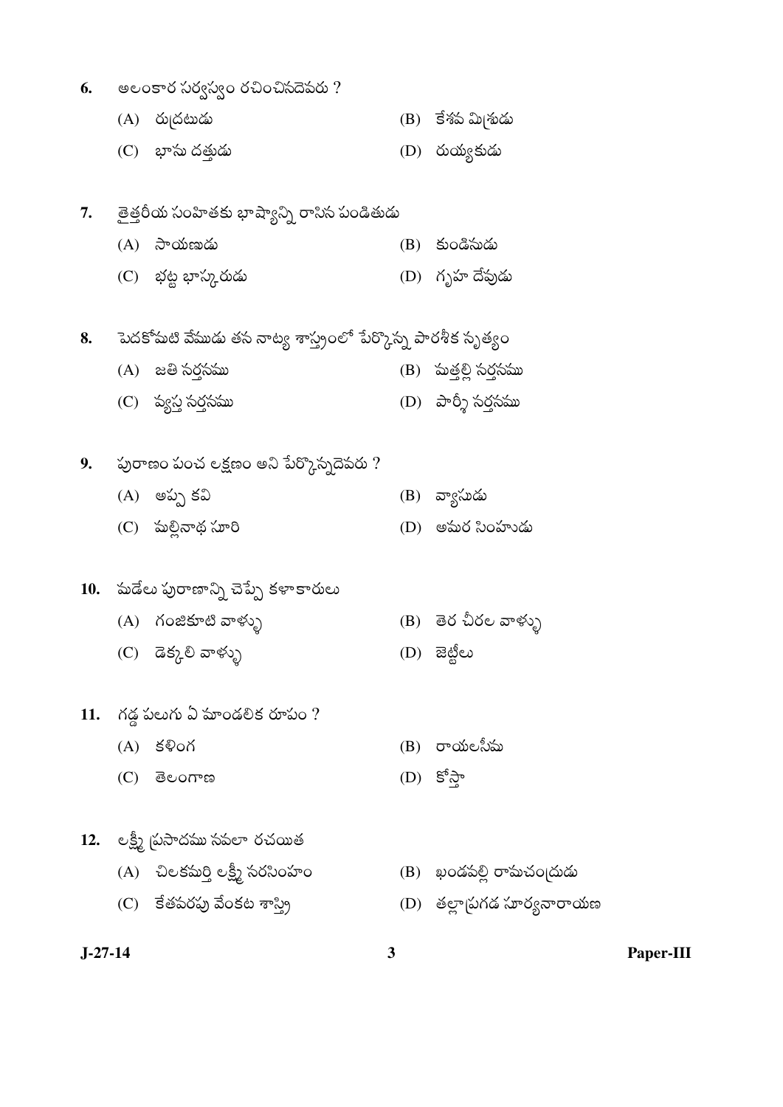- అలంకార సర్వస్వం రచించినదెవరు ? 6.
	- $(A)$  రుద్రటుడు (B) కేశప మి<sub>(</sub>శుడు
	- $(C)$  బాసు దత్తుడు  $(D)$  రుయ్యకుడు
- 7. తైత్తరీయ సంహితకు భాష్యాన్ని రాసిన పండితుడు
	- $(A)$  సాయణుడు  $(B)$  కుండిసుడు  $(C)$  భట్ట భాస్కరుడు (D) గృహ దేపుడు
- పెదకోమటి వేముడు తస నాట్య శాస్త్రంలో పేర్కొన్న పారశీక సృత్యం 8.
	- (A) జతి సర్తసము (B) పుత్తల్లి సర్తసము
	- (D) పార్శీ సర్తసము  $(C)$  వ్యస్త సర్తసము
- 9. పురాణం పంచ లక్షణం అని పేర్కొస్నదెవరు ?
	- $(A)$  అప్ప కవి (B) వ్యాసుడు
	- $(C)$  మల్లినాథ సూరి (D) అమర సింహుడు

# 10. మడేలు పురాణాన్ని చెప్పే కళాకారులు

- (A) గంజికూటి వాళ్ళు (B) తెర చీరల వాళ్ళు
- (C) డెక్కరి వాళ్ళు
- $11.$  గడ్డ పలుగు ఏ మాండలిక రూపం ?
	- $(A)$  కళింగ
	- $(D)$  కోస్తా  $(C)$  deormed
- 12. లక్ష్మీ (పసాదము సపలా రచయిత
	- (A) చిలకమర్తి లక్ష్మీ సరసింహం (B) ఖండపల్లి రామచంద్రుడు
	- $(C)$  కేతపరపు వేంకట శాస్త్రి
- 
- (D) ಪಟ್ಟಿಲು

 $(B)$  రాయలసీమ

3

- 
- (D) తల్లా ప్రగడ సూర్యనారాయణ

 $J-27-14$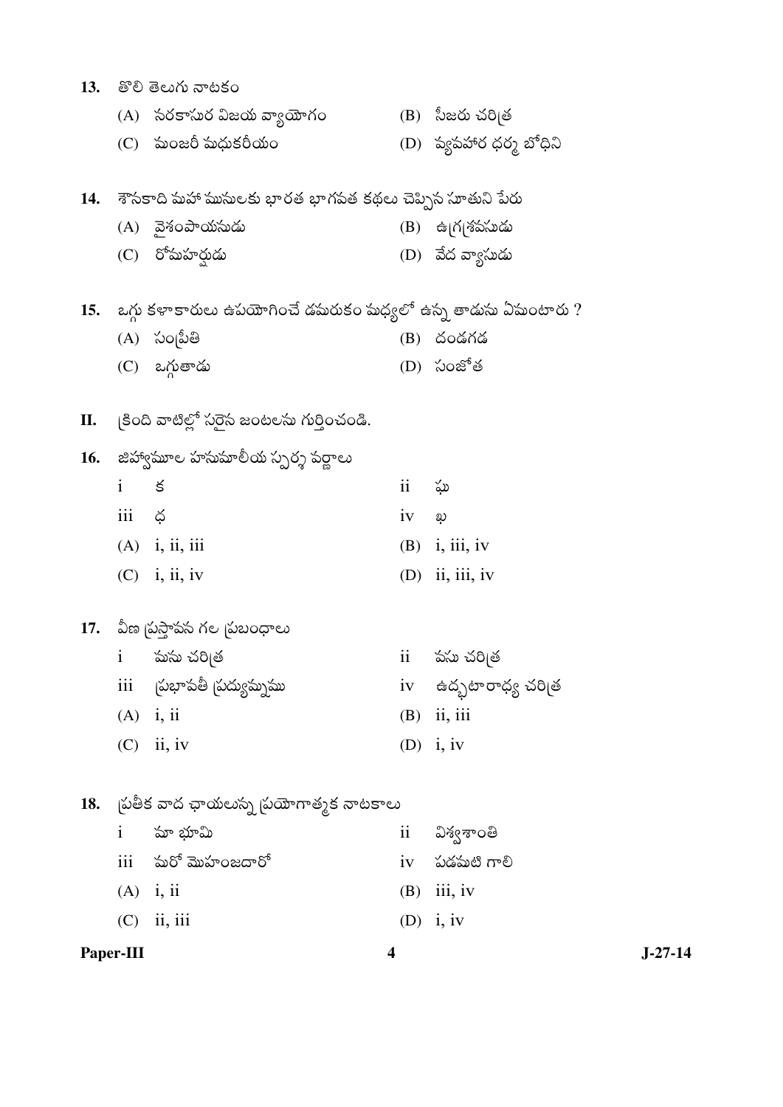|           |              | 13.   తొలి తెలుగు నాటకం                                              |               |                                     |
|-----------|--------------|----------------------------------------------------------------------|---------------|-------------------------------------|
|           |              | (A) సరకాసుర విజయ వ్యాయోగం                                            |               | (B) సీజరు చరి <sub>(</sub> త        |
|           |              | (C) పుంజరీ మధుకరీయం                                                  |               | (D) ప్యపహార ధర్మ బోధిని             |
|           |              | 14. - శౌసకాది మహా ముసులకు భారత భాగపత కథలు చెప్పిన సూతుని పేరు        |               |                                     |
|           |              | (A) నైశంపాయసుడు                                                      |               | (B) ఉ గ శపసుడు                      |
|           |              | (C) రోమహర్షుడు                                                       |               | (D) వేద వ్యాసుడు                    |
|           |              | 15. - ఒగ్గు కళాకారులు ఉపయోగించే డమరుకం మధ్యలో ఉన్న తాడును ఏపుంటారు ? |               |                                     |
|           |              | (A) సం[పీతి                                                          |               | (B) దండగడ                           |
|           |              | (C) ఒగ్గుతాడు                                                        |               | (D) సంజోత                           |
|           |              | $\mathbf{H}$ . (కింది వాటిల్లో సరైన జంటలను గుర్తించండి.              |               |                                     |
|           |              | 16. - జిహ్వామూల హసుమాలీయ స్పర్శ పర్ణాలు                              |               |                                     |
|           | $\mathbf{i}$ | క                                                                    | ii            | ఘ                                   |
|           | iii ¢        |                                                                      | $iv$ $\omega$ |                                     |
|           |              | $(A)$ i, ii, iii                                                     |               | $(B)$ i, iii, iv                    |
|           |              | $(C)$ i, ii, iv                                                      |               | $(D)$ ii, iii, iv                   |
|           |              | 17. - వీణ (పస్తావస గల (పబంధాలు                                       |               |                                     |
|           |              | i సుసు చరిత్ర                                                        |               | ii పసుచరిత్ర                        |
|           | iii          | (పభాపతీ (పద్యుమ్నము                                                  |               | iv — ఉద్భటారాధ్య చరి <sub>l</sub> త |
|           | $(A)$ i, ii  |                                                                      | (B)           | ii, iii                             |
|           |              | $(C)$ ii, iv                                                         |               | (D) $i, iv$                         |
| 18.       |              | ్నపతీక వాద ఛాయలుస్న స్రయోగాత్మక నాటకాలు                              |               |                                     |
|           | $\mathbf{i}$ | మా భూమి                                                              |               | ii విశ్వశాంతి                       |
|           |              | iii పురో మొహంజదారో                                                   |               | iv పడమటి గాలి                       |
|           | $(A)$ i, ii  |                                                                      | (B)           | iii, iv                             |
|           |              | $(C)$ ii, iii                                                        |               | $(D)$ i, iv                         |
| Paper-III |              | 4                                                                    |               |                                     |

 $J-27-14$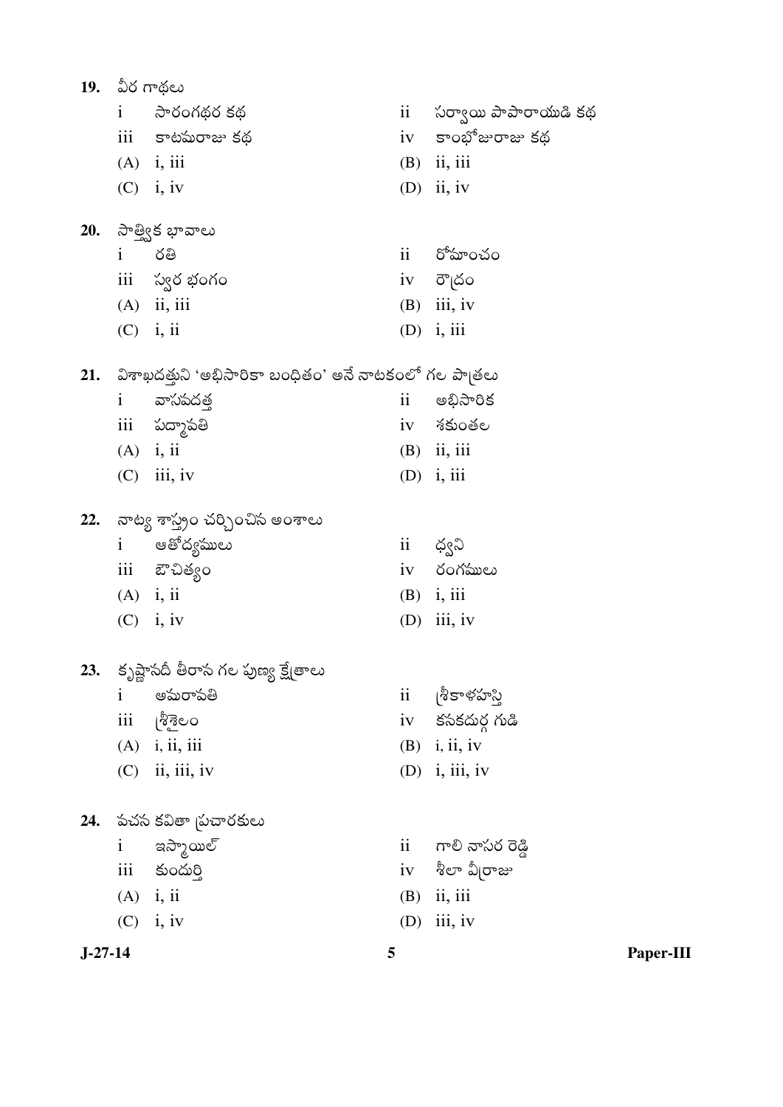|           |              | 19. ఏర గాథలు                                              |                     |                                  |
|-----------|--------------|-----------------------------------------------------------|---------------------|----------------------------------|
|           |              | i సారంగథర కథ                                              | $\ddot{\mathbf{i}}$ | సర్వాయి పాపారాయుడి కథ            |
|           |              | iii కాటమరాజు కథ                                           |                     | iv కాంభోజురాజు కథ                |
|           |              | $(A)$ i, iii                                              |                     | $(B)$ ii, iii                    |
|           |              | $(C)$ i, iv                                               |                     | $(D)$ ii, iv                     |
|           |              | 20. సాత్విక భావాలు                                        |                     |                                  |
|           | $\mathbf{i}$ | రతి                                                       |                     | ii రోమాంచం                       |
|           |              | iii స్వర భంగం                                             |                     | iv రౌౖదం                         |
|           |              | $(A)$ ii, iii                                             |                     | $(B)$ iii, iv                    |
|           |              | $(C)$ i, ii                                               |                     | $(D)$ i, iii                     |
|           |              | 21. విశాఖదత్తుని 'అభిసారికా బంధితం' అనే నాటకంలో గల పాబతలు |                     |                                  |
|           | $\mathbf{i}$ | వాసపదత్త                                                  | $\mathbf{ii}$       | అభిసారిక                         |
|           |              | iii పద్మాపతి                                              |                     | iv శకుంతల                        |
|           |              | $(A)$ i, ii                                               |                     | $(B)$ ii, iii                    |
|           |              | $(C)$ iii, iv                                             |                     | $(D)$ i, iii                     |
| 22.       |              | నాట్య శాస్త్రం చర్చించిన అంశాలు                           |                     |                                  |
|           |              | i ఆతోద్యములు                                              | $\mathbf{ii}$       | ద్వని                            |
|           |              | iii ఔచిత్యం                                               |                     | iv రంగములు                       |
|           |              | $(A)$ i, ii                                               |                     | $(B)$ i, iii                     |
|           |              | $(C)$ i, iv                                               | (D)                 | iii, iv                          |
| 23.       |              | కృష్ణాసదీ తీరాస గల పుణ్య క్షేత్రాలు                       |                     |                                  |
|           | $\mathbf{i}$ | అమరాపతి                                                   | ii                  | శీకాళహస్తి                       |
|           | iii          | ပြွန္မွင္မွတ                                              | iv                  | కసకదుర్గ గుడి                    |
|           |              | $(A)$ i, ii, iii                                          | (B)                 | i, ii, iv                        |
|           | (C)          | ii, iii, iv                                               | (D)                 | i, iii, iv                       |
| 24.       |              | పచస కవితా  పచారకులు                                       |                     |                                  |
|           | $\mathbf{i}$ | ఇస్మాయిల్                                                 | $\ddot{\mathbf{i}}$ | గాలి నాసర రెడ్డి                 |
|           | iii          | కుందుర్తి                                                 |                     | $\operatorname{iv}$ శీలా వీ రాజు |
|           |              | $(A)$ i, ii                                               | (B)                 | ii, iii                          |
|           |              | $(C)$ i, iv                                               | (D)                 | iii, iv                          |
| $J-27-14$ |              |                                                           | 5                   |                                  |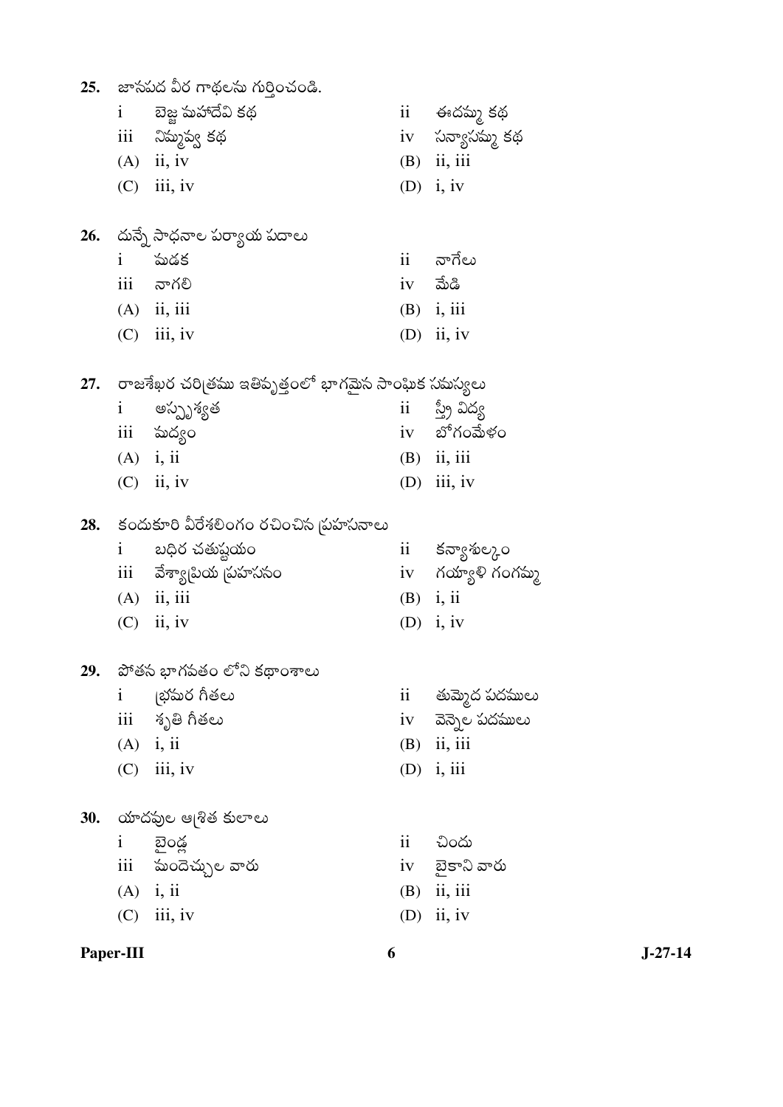|            |                        | 25. జాసపద వీర గాథలను గుర్తించండి.                        |                 |                       |
|------------|------------------------|----------------------------------------------------------|-----------------|-----------------------|
|            | $\mathbf{i}$           | బెజ్జ మహాదేవి కథ                                         |                 | ii ఈదమ్మ కథ           |
|            |                        | iii నిమ్మప్వ కథ                                          |                 | iv సన్యాసమ్మ కథ       |
|            |                        | $(A)$ ii, iv                                             |                 | $(B)$ ii, iii         |
|            |                        | $(C)$ iii, iv                                            |                 | (D) $i, iv$           |
|            |                        | 26. - దున్నే సాధనాల పర్యాయ పదాలు                         |                 |                       |
|            | $\mathbf{i}$           | పుడక                                                     | ii              | నాగేలు                |
|            | iii                    | నాగలి                                                    |                 | $iv$ మేడి             |
|            |                        | $(A)$ ii, iii                                            |                 | $(B)$ i, iii          |
|            |                        | $(C)$ iii, iv                                            |                 | $(D)$ ii, iv          |
|            |                        | 27. - రాజశేఖర చరిత్రము ఇతిపృత్తంలో భాగమైన సాంఘిక సమస్యలు |                 |                       |
|            | $\mathbf{1}$           | అస్పృశ్యత                                                |                 | ii స్త్రీ విద్య       |
|            |                        | iii మద్యం                                                |                 | iv బోగంమేళం           |
|            |                        | $(A)$ i, ii                                              |                 | $(B)$ ii, iii         |
|            |                        | $(C)$ ii, iv                                             |                 | $(D)$ iii, iv         |
| 28.        |                        | కందుకూరి వీరేశలింగం రచించిన  పహసనాలు                     |                 |                       |
|            | $1 \quad \blacksquare$ | బధిర చతుష్టయం                                            |                 | ii కన్యాశుల్కం        |
|            |                        | iii     వేశ్యా[పియ [పహససం                                |                 | iv గయ్యాళి గంగమ్మ     |
|            |                        | $(A)$ ii, iii                                            |                 | $(B)$ i, ii           |
|            |                        | $(C)$ ii, iv                                             |                 | (D) $i, iv$           |
| 29.        |                        | పోతస భాగపతం లోని కథాంశాలు                                |                 |                       |
|            | $\mathbf{i}$           | ్రభమర గీతలు                                              | $\overline{11}$ | తుమ్మెద పదములు        |
|            |                        | iii శృతి గీతలు                                           |                 | iv     వెన్నెల పదములు |
|            |                        | $(A)$ i, ii                                              |                 | $(B)$ ii, iii         |
|            |                        | $(C)$ iii, iv                                            | (D)             | i, iii                |
| <b>30.</b> |                        | యాదఫుల ఆ[శిత కులాలు                                      |                 |                       |
|            | $\mathbf{i}$           | బైండ్ల                                                   | ii              | చిందు                 |
|            |                        | iii సుందెచ్చుల వారు                                      |                 | iv బైకాని వారు        |
|            |                        | $(A)$ i, ii                                              |                 | $(B)$ ii, iii         |
|            | (C)                    | iii, iv                                                  | (D)             | ii, iv                |
|            | Paper-III              | 6                                                        |                 |                       |

 $J-27-14$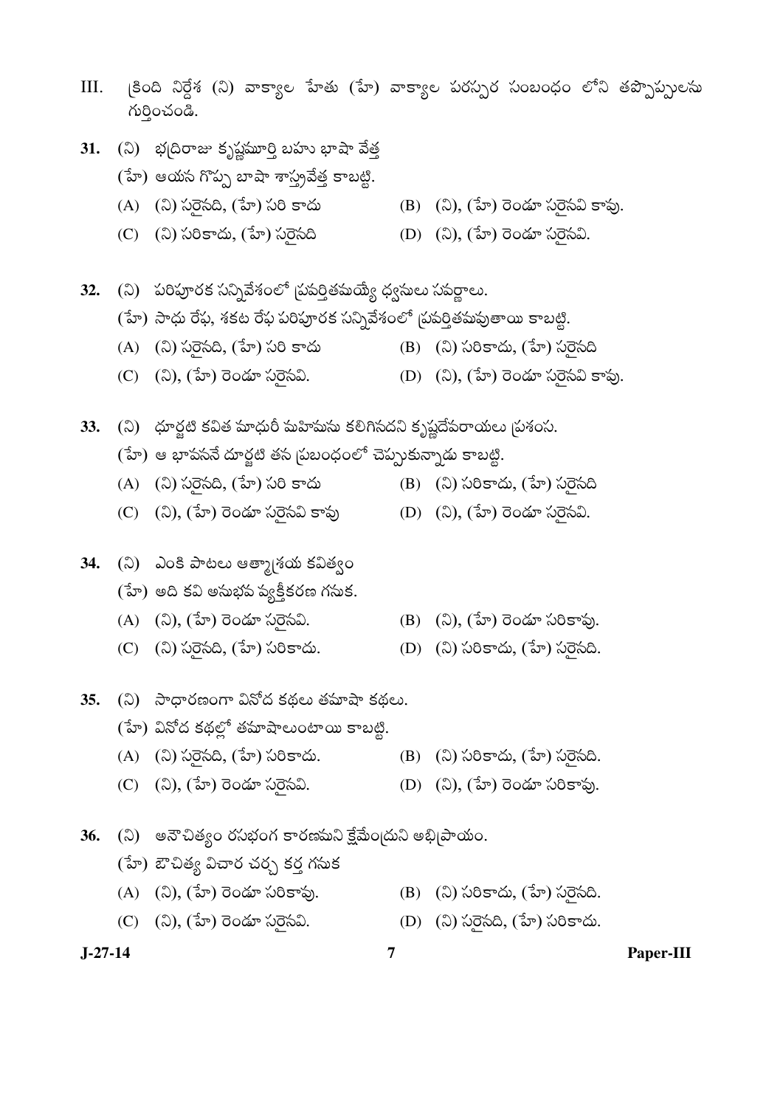- III. (కింది నిర్దేశ (ని) వాక్యాల హేతు (హే) వాక్యాల పరస్పర సంబంధం లోని తప్పొప్పులను *r*óðorð.
- 31. (ని) భ(దిరాజు కృష్ణమూర్తి బహు భాషా వేత్త (హే) ఆయస గొప్ప బాషా శాస్త్రవేత్త కాబట్టి.
	- $(A)$  ( $\ddot{a}$ )  $\ddot{b}$  $\ddot{c}$  $\ddot{c}$  $\ddot{d}$  $\ddot{c}$  $\ddot{d}$  $\ddot{c}$  $\ddot{d}$  $\ddot{d}$  $\ddot{d}$  $\ddot{d}$  $\ddot{e}$  $\ddot{d}$  $\ddot{e}$  $\ddot{d}$  $\ddot{e}$  $\ddot{e}$  $\ddot{e}$  $\ddot{e}$  $\ddot{e}$  $\ddot{e}$  $\ddot{e}$  $\ddot{e}$  $\ddot{e}$  $\ddot{e}$  $\ddot{$
	- (C) (ని) సరికాదు, (హే) సరైనది (D) (ని), (హే) రెండూ సరైనవి.
- **32.** (ని) పరిపూరక సన్నివేశంలో చ్రవర్తితమయ్యే ధ్వనులు సవర్ణాలు.

# (హే) సాధు రేఫ, శకట రేఫ పరిపూరక సన్నివేశంలో (పవర్తితపువుతాయి కాబట్టి.

- (A) (ని) సరైనది, (హే) సరి కాదు (B) (ని) సరికాదు, (హే) సరైనది
- (C) (ని), (హే) రెండూ సరైసవి. (D) (ని), (హే) రెండూ సరైసవి కాఫు.

**33.** (ని) `ధూర్జటి కవిత మాధురీ మహిమసు కలిగినదని కృష్ణదేవరాయలు బ్రశంస.

- $(3r)$  ఆ భాపసనే దూర్జటి తస బ్రబంధంలో చెప్పుకున్నాడు కాబట్టి.
- (A) (ని) సరైనది, (హే) సరి కాదు (B) (ని) సరికాదు, (హే) సరైనది
- (C) (©¬ý), (º±ýý) ÕŸýÕýÀ·þœÚ ©Ó´ýÕ¢Ÿý®´ý§¬ý Ø—¯´ý¸ (D) (©¬ý), (º±ýý) ÕŸýÕýÀ·þœÚ ©Ó´ýÕ¢Ÿý®´ý§¬ý.

### 34. (ని) ఎంకి పాటలు ఆత్మా[శయ కవిత్వం

- $(5r)$  అది కవి అసుభవ వ్యక్తీకరణ గసుక.
- (A) (ని), (హే) రెండూ సరైసవి. (B) (ని), (హే) రెండూ సరికావు.
- (C) (ని) సరైనది, (హే) సరికాదు. (D) (ని) సరికాదు, (హే) సరైనది.
- 35. (ని) సాధారణంగా వినోద కథలు తమాషా కథలు.
	- $(5)$  ఏనోద కథల్లో తమాషాలుంటాయి కాబట్టి.
	- (A) (ని) సరైసది, (హే) సరికాదు. (B) (ని) సరికాదు, (హే) సరైసది.
	- (C) (ని), (హే) రెండూ సరైసవి. (D) (ని), (హే) రెండూ సరికావు.
- **36.** (ని) అనౌచిత్యం రసభంగ కారణమని క్షేమేందుని అభి<sub>l</sub>పాయం.
	- (హే) ఔచిత్య విచార చర్చ కర్త గసుక
	- (A) (ని), (హే) రెండూ సరికావు. (B) (ని) సరికాదు, (హే) సరైసది.
	- (C) (ని), (హే) రెండూ సరైసవి. (D) (ని) సరైసది, (హే) సరికాదు.
- 

- 
- 
- 
- 

- **J-27-14 7 Paper-III**
-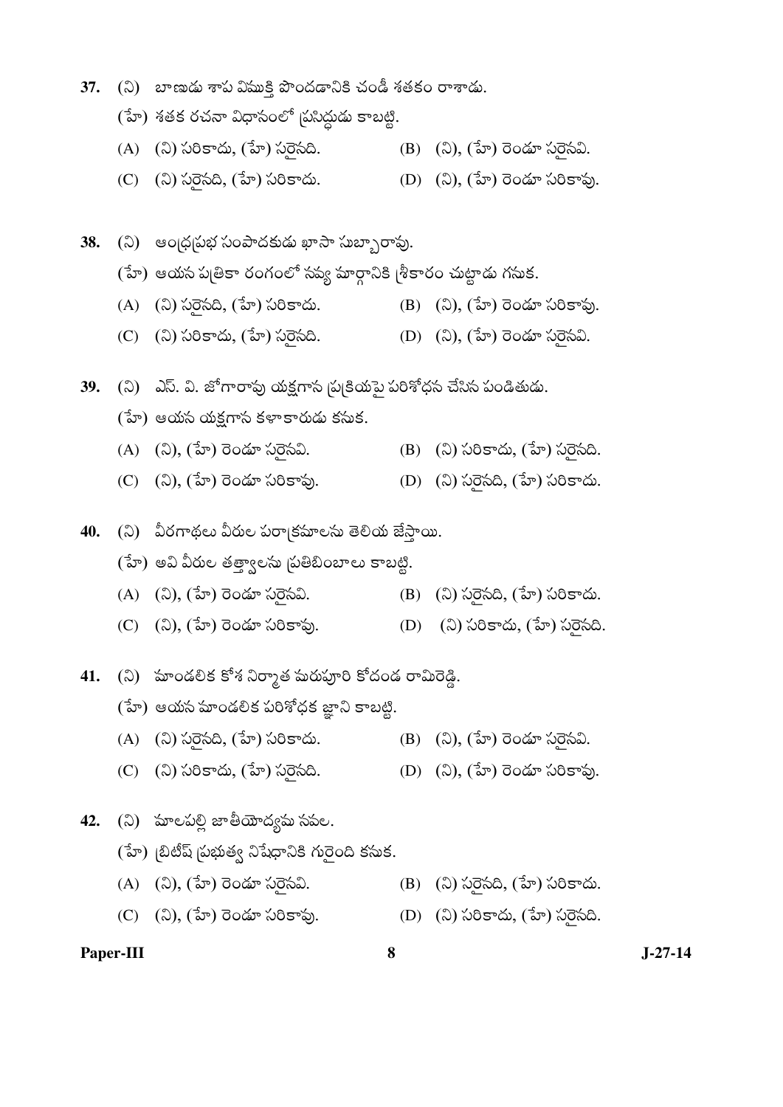- (హే) శతక రచనా విధాసంలో (పసిద్ధుడు కాబట్టి. (A) (ని) సరికాదు, (హే) సరైనది. (B) (ని), (హే) రెండూ సరైనవి. 38. (ని) ఆం¦ధ¦పభ సంపాదకుడు ఖాసా సుబ్బారావు. (హే) ఆయస పుత్రికా రంగంలో సప్య మార్గానికి [శీకారం చుట్టాడు గసుక. (A) (ని) సరైనది, (హే) సరికాదు. (B) (ని), (హే) రెండూ సరికాఫు. (C) (ని) సరికాదు, (హే) సరైనది. (D) (ని), (హే) రెండూ సరైనవి. **39.** (ని) ఎస్. వి. జోగారావు యక్షగాన న్నటయమై పరిశోధన చేసిన పండితుడు.  $(5r)$  ఆయస యక్షగాస కళాకారుడు కసుక. (A) (ని), (హే) రెండూ సరైసవి. (B) (ని) సరికాదు, (హే) సరైసది. (C) (ని), (హే) రెండూ సరికావు. (D) (ని) సరెసది, (హే) సరికాదు. **40.** (ని) పీరగాథలు వీరుల పరా<sub>|</sub>కమాలసు తెలియ జేస్తాయి.
	-
	-
	-
- - $(5r)$  ఆయస హండలిక పరిశోధక జ్ఞాని కాబట్టి.
	- (A) (ని) సరైనది, (హే) సరికాదు. (B) (ని), (హే) రెండూ సరైనవి.
	- (C) (ని) సరికాదు, (హే) సరైనది. (D) (ని), (హే) రెండూ సరికావు.
- **42.** (ని) హలపల్లి జాతీయోద్యమ సవల.
	- (హే) (బిటీష్ సుభుత్వ నిషేధానికి గురైంది కసుక.
	- $(A)$   $(\lambda)$ ,  $(\lambda)$   $(\lambda)$   $(\lambda)$   $(\lambda)$   $(\lambda)$   $(\lambda)$   $(\lambda)$   $(\lambda)$   $(\lambda)$   $(\lambda)$   $(\lambda)$   $(\lambda)$   $(\lambda)$   $(\lambda)$   $(\lambda)$   $(\lambda)$
	- (C) (ని), (హే) రెండూ సరికావు. (D) (ని) సరికాదు, (హే) సరైసది.

#### **Paper-III 8 J-27-14**

- 
- (హే) అవి వీరుల తత్వాలను బుతిబింబాలు కాబట్టి.
- $(A)$   $(\lambda)$ ,  $(\lambda)$   $(\lambda)$   $(\lambda)$   $(\lambda)$   $(\lambda)$   $(\lambda)$   $(\lambda)$   $(\lambda)$   $(\lambda)$   $(\lambda)$   $(\lambda)$   $(\lambda)$   $(\lambda)$   $(\lambda)$   $(\lambda)$   $(\lambda)$
- (C) (ని), (హే) రెండూ సరికావు. (D) (ని) సరికాదు, (హే) సరైనది.
- 
- 
- 
- **41.** (ని) పూండలిక కోశ నిర్మాత పురుపూరి కోదండ రామిరెడ్డి.
- 37. (ని) బాణడు శాప విముక్తి పొందడానికి చండీ శతకం రాశాడు.
	-
	- (C) (ని) సరైనది, (హే) సరికాదు. (D) (ని), (హే) రెండూ సరికావు.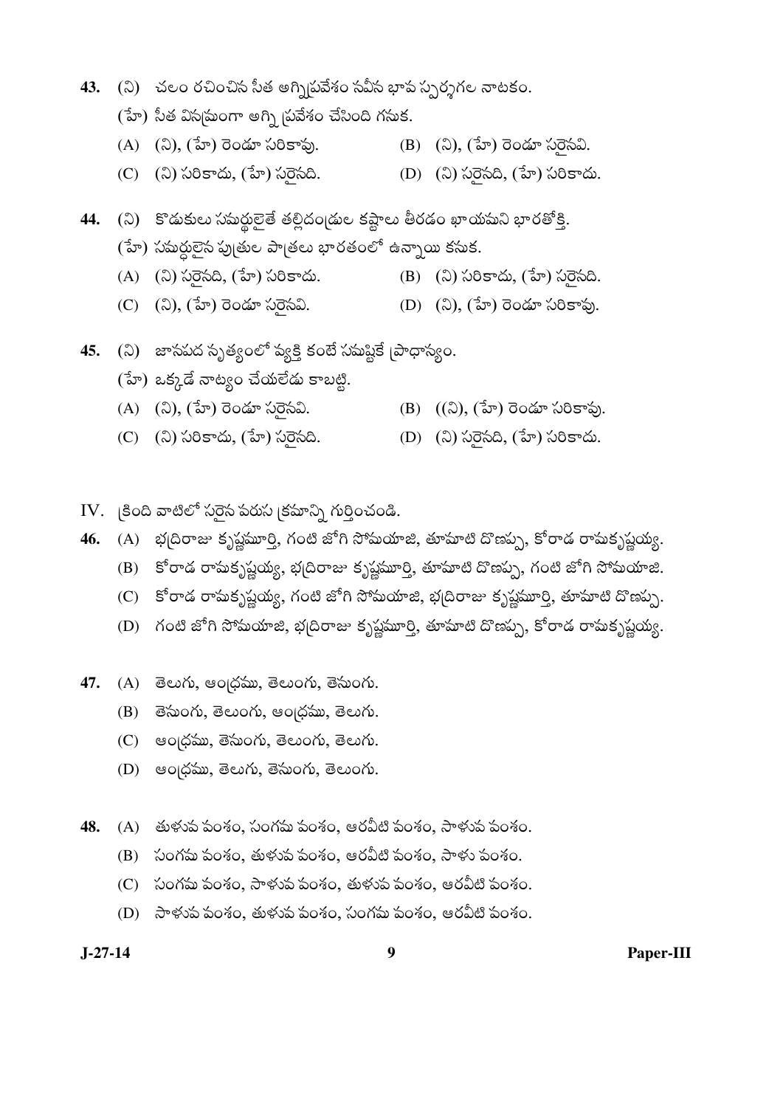- 43. (ని) చలం రచించిన సీత అగ్ని/పవేశం సవీస భావ స్పర్శగల నాటకం.
	- (హే) సీత విస్మమంగా అగ్ని బ్రవేశం చేసింది గసుక.
	- $(A)$   $(\mathbb{Q}), (\mathbb{Z}_p)$  రెండూ సరికావు. (B) (ని), (హే) రెండూ సరైసవి.
	- (C) (ని) సరికాదు, (హే) సరైనది. (D) (ని) సరైనది, (హే) సరికాదు.

44. (ని) కొడుకులు సమర్థులైతే తల్లిదండ్రుల కష్టాలు తీరడం ఖాయమని భారతోక్తి. (హే) సమర్ధులైన పుత్రుల పాత్రలు భారతంలో ఉన్నాయి కసుక.

- (A) (ని) సరైనది, (హే) సరికాదు. (B) (ని) సరికాదు, (హే) సరైనది.
- (C) (ని), (హే) రెండూ సరైసవి. (D) (ని), (హే) రెండూ సరికావు.
- 45. (ని) జాసపద సృత్యంలో వ్యక్తి కంటే సమష్టికే (పాధాన్యం.
	- $(5)$  ఒక్కడే నాట్యం చేయలేడు కాబట్టి.
	- (A) (ని), (హే) రెండూ సరెసవి. (B) ((ని), (హే) రెండూ సరికావు.
	- (C) (ని) సరికాదు, (హే) సరైనది. (D) (ని) సరైనది, (హే) సరికాదు.
- IV.  $|800$  వాటిలో సరైన పరుస $|8500\rangle$  గుర్తించండి.
- 46. (A) భ[దిరాజు కృష్ణమూర్తి, గంటి జోగి సోమయాజి, తూమాటి దొణప్ప, కోరాడ రామకృష్ణయ్య.
	- (B) కోరాడ రామకృష్ణయ్య, భద్రిరాజు కృష్ణమూర్తి, తూమాటి దొణప్ప, గంటి జోగి సోమయాజి.
	- (C) కోరాడ రామకృష్ణయ్య, గంటి జోగి సోమయాజి, భ[దిరాజు కృష్ణమూర్తి, తూమాటి దొణప్ప.
	- (D) గంటి జోగి సోమయాజి, భ[దిరాజు కృష్ణమూర్తి, తూమాటి దొణప్ప, కోరాడ రామకృష్ణయ్య.
- 47. (A) తెలుగు, ఆంధ్రము, తెలుంగు, తెనుంగు.
	- $(B)$  లేనుంగు, తెలుంగు, ఆంద్రము, తెలుగు.
	- $(C)$  eolos w, రేసుంగు, తెలుంగు, తెలుగు.
	- $(D)$  ఆంద్రము, తెలుగు, తెసుంగు, తెలుంగు.
- 48. (A) తుళుప పంశం, సంగమ పంశం, ఆరవీటి పంశం, సాళుప పంశం.
	- (B) సంగమ పంశం, తుళువ పంశం, ఆరవీటి పంశం, సాళు పంశం.
	- (C) సంగమ పంశం, సాళుప పంశం, తుళుప పంశం, ఆరవీటి పంశం.
	- (D) సాళుప పంశం, తుళుప పంశం, సంగమ పంశం, ఆరవీటి పంశం.

 $J-27-14$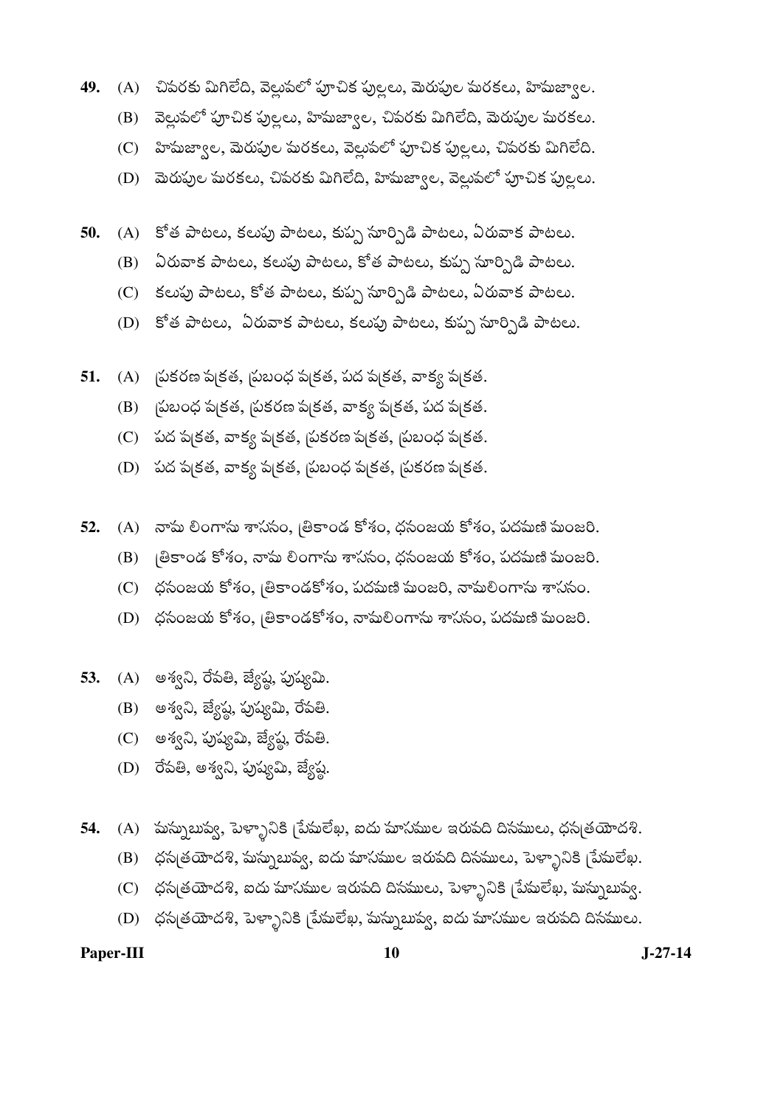- **49.** (A) చిపరకు మిగిలేది, వెల్లుపలో పూచిక పుల్లలు, మెరుపుల మరకలు, హిమజ్వాల.
	- (B) వెల్లుపలో పూచిక పుల్లలు, హిమజ్వాల, చిపరకు మిగిలేది, మెరుపుల మరకలు.
	- (C) హిసుజ్వాల, మెరుపుల సురకలు, వెల్లుపలో పూచిక పుల్లలు, చిపరకు మిగిలేది.
	- (D) మెరుపుల మరకలు, చివరకు మిగిలేది, హిమజ్వాల, వెల్లువలో పూచిక పుల్లలు.
- 50. (A) కోత పాటలు, కలపు పాటలు, కుప్ప సూర్పిడి పాటలు, ఏరువాక పాటలు.
	- (B) ఏరువాక పాటలు, కలపు పాటలు, కోత పాటలు, కుప్ప సూర్పిడి పాటలు.
	- (C) కలపు పాటలు, కోత పాటలు, కుప్ప సూర్పిడి పాటలు, ఏరువాక పాటలు.
	- (D) కోత పాటలు, ఏరువాక పాటలు, కలుపు పాటలు, కుప్ప సూర్పిడి పాటలు.
- **51.** (A) (పకరణ ప|కత, సుబంధ ప|కత, పద ప|కత, వాక్య ప|కత.
	- $(B)$  ప్రబంధ ప(కత, ప్రకరణ ప(కత, వాక్య ప(కత, పద ప(కత.
	- $(C)$  పద ప|కత, వాక్య ప|కత, బ్రకరణ ప|కత, బ్రబంధ ప|కత.
	- (D) పద ప[కత, వాక్య ప[కత, ప్రబంధ ప[కత, ప్రకరణ ప[కత.
- **52.** (A) నామ లింగాను శాసనం, బ్రికాండ కోశం, ధసంజయ కోశం, పదమణి మంజరి.
	- $(B)$  ခြီခာဝడ కోశం, నామ లింగాను శాససం, ధసంజయ కోశం, పదమణి మంజరి.
	- $(C)$   $\phi$ సంజయ కోశం, బ్రికాండకోశం, పదమణి మంజరి, నామలింగాను శాససం.
	- $(D)$   $\phi$ సంజయ కోశం,  $\theta$ కాండకోశం, నామలింగాను శాససం, పదమణి మంజరి.
- **53.** (A) అశ్వని, రేపతి, జ్యేష్ణ, పుష్యమి.
	- $(B)$  అశ్వని, జ్యేష్ణ, పుష్యమి, రేవతి.
	- (C) అశ్వని, పుష్యమి, జ్యేష్ఠ, రేపతి.
	- (D) రేపతి, అశ్వని, పుష్యమి, జ్యేష్ఠ.
- **54.** (A) పుస్నుబుప్వ, పెళ్ళానికి [పేమలేఖ, ఐదు మాసముల ఇరుపది దిసములు, ధస్మతయోదశి.
	- (B) ဟధన(తయోదశి, మస్నుబువ్వ, ఐదు మాసముల ఇరుపది దినములు, పెళ్ళానికి [పేమలేఖ.
	- (C) ဟధన(తయోదశి, ఐదు మాసముల ఇరుపది దినములు, పెళ్ళానికి (పేమలేఖ, మస్నుబువ్వ.
	- $(D)$  ంధస్మతయోదశి, పెళ్ళానికి (పేమలేఖ, మస్నుబువ్వ, ఐదు మాసముల ఇరుపది దిసములు.

Paper-III **10** J-27-14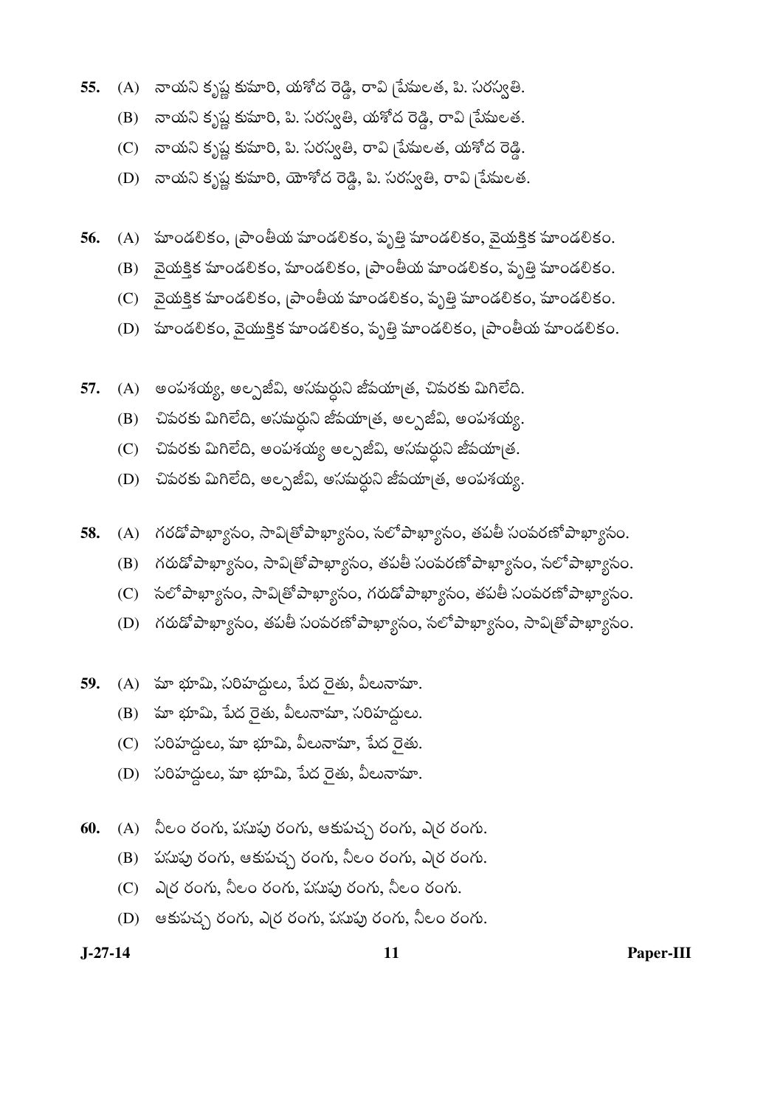- (A) నాయని కృష్ణ కుమారి, యశోద రెడ్డి, రావి [పేమలత, పి. సరస్వతి. 55.
	- (B) నాయని కృష్ణ కుమారి, పి. సరస్వతి, యశోద రెడ్డి, రావి [పేమలత.
	- (C) నాయని కృష్ణ కుమారి, పి. సరస్వతి, రావి <sub>[</sub>పేమలత, యశోద రెడ్డి.
	- (D) నాయని కృష్ణ కుమారి, యోశోద రెడ్డి, పి. సరస్వతి, రావి [పేషులత.
- (A) హండలికం, [పాంతీయ హండలికం, పృత్తి హండలికం, వైయక్తిక హండలికం. 56.
	- (B) మైయక్తిక మాండలికం, మాండలికం, [పాంతీయ మాండలికం, పృత్తి మాండలికం.
	- (C) మైయక్తిక హుండలికం, [పాంతీయ హుండలికం, పృత్తి హుండలికం, హుండలికం.
	- (D) హండలికం, వైయుక్తిక హండలికం, పృత్తి హండలికం, [పాంతీయ హండలికం.
- 57. (A) అంపశయ్య, అల్పజీవి, అసమర్ధుని జీవయాత్ర, చివరకు మిగిలేది.
	- చివరకు మిగిలేది, అసమర్ధుని జీపయా[త, అల్పజీవి, అంపశయ్య. (B)
	- చివరకు మిగిలేది, అంపశయ్య అల్పజీవి, అసమర్దుని జీవయా[త.  $(C)$
	- చివరకు మిగిలేది, అల్పజీవి, అసమర్దుని జీవయా[త, అంపశయ్య. (D)
- (A) గరడోపాఖ్యాసం, సావి[తోపాఖ్యాసం, సలోపాఖ్యాసం, తపతీ సంపరణోపాఖ్యాసం. 58.
	- (B) గరుడో పాఖ్యాసం, సావిత్రో పాఖ్యాసం, తపతీ సంపరణో పాఖ్యాసం, సలో పాఖ్యాసం.
	- (C) సలో పాఖ్యాసం, సావిత్రో పాఖ్యాసం, గరుడో పాఖ్యాసం, తపతీ సంపరణో పాఖ్యాసం.
	- (D) గరుడో పాఖ్యాసం, తపతీ సంవరణో పాఖ్యాసం, సలో పాఖ్యాసం, సావి[తో పాఖ్యాసం.
- 59. (A) మా భూమి, సరిహద్దులు, పేద రైతు, వీలునామా.
	- $(B)$  మా భూమి, పేద రైతు, వీలునామా, సరిహద్దులు.
	- (C) సరిహద్దులు, మా భూమి, వీలునామా, పేద రైతు.
	- $(D)$  సరిహద్దులు, మా భూమి, పేద రైతు, వీలునామా.
- 60.  $(A)$   $\sim$   $\infty$  రంగు, పసుపు రంగు, ఆకుపచ్చ రంగు, ఎ(ర రంగు.
	- (B) పసుపు రంగు, ఆకుపచ్చ రంగు, నీలం రంగు, ఎర్ర రంగు.
	- (C) ఎర్ర రంగు, నీలం రంగు, పసుపు రంగు, నీలం రంగు.
	- (D) ఆకుపచ్చ రంగు, ఎర్ర రంగు, పసుపు రంగు, నీలం రంగు.

 $J-27-14$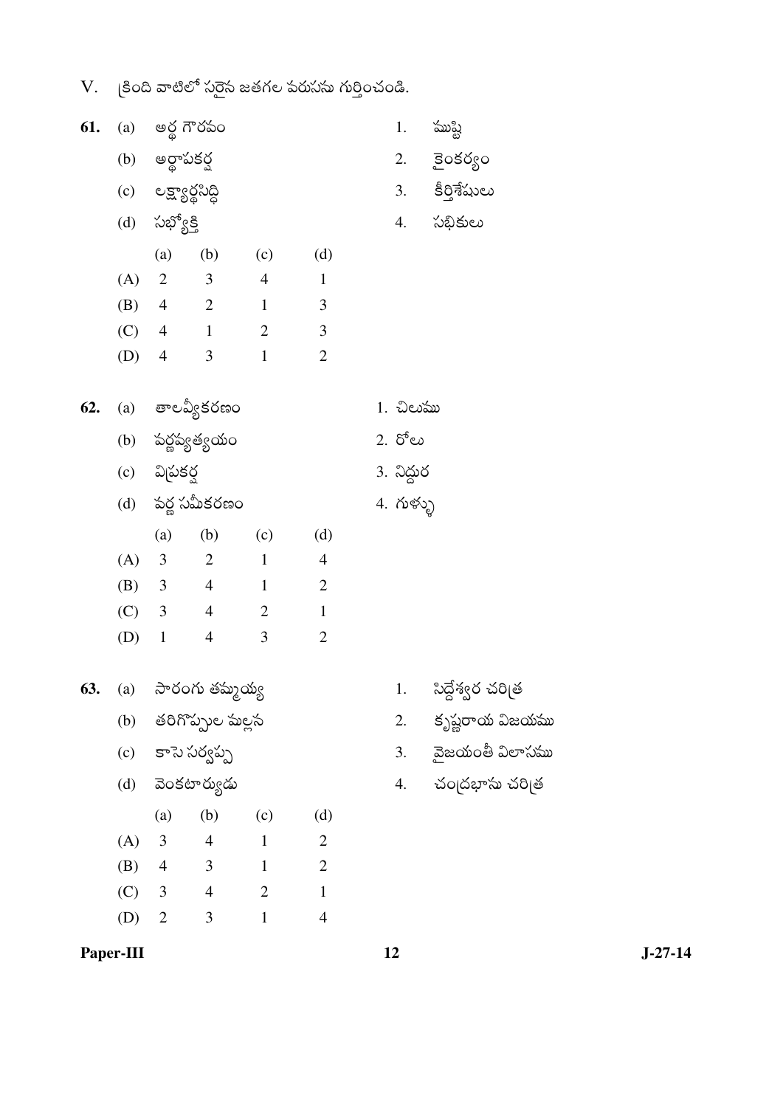$V.$   $\beta$ ంది వాటిలో సరైస జతగల పరుసను గుర్తించండి.

| 61. |         |                      | (a) అర్ధ గౌరపం       |                |                          |                         | 1. ముష్టి            |
|-----|---------|----------------------|----------------------|----------------|--------------------------|-------------------------|----------------------|
|     |         | (b) అర్థాపకర్ణ       |                      |                |                          |                         | 2. కైంకర్యం          |
|     |         | (c) లక్ష్యార్థసిద్ధి |                      |                |                          |                         | 3. కీర్తిశేషులు      |
|     |         | (d) సభ్యోక్తి        |                      |                |                          |                         | 4. సభికులు           |
|     |         | (a)                  |                      | $(b)$ (c)      | (d)                      |                         |                      |
|     |         |                      | $(A)$ 2 3 4          |                | $\mathbf{1}$             |                         |                      |
|     |         |                      | (B) 4 2 1            |                | $\overline{\phantom{a}}$ |                         |                      |
|     |         |                      |                      | $(C)$ 4 1 2 3  |                          |                         |                      |
|     |         |                      | (D) $4 \t 3 \t 1$    |                | $\overline{2}$           |                         |                      |
| 62. |         |                      | (a) తాలవ్యీకరణం      |                |                          | 1. చిలుము               |                      |
|     |         |                      | (b) పర్ణప్యత్యయం     |                |                          | 2. రోలు                 |                      |
|     |         | (c) విచుకర్ష         |                      |                |                          |                         |                      |
|     |         |                      | (d) పర్ల సమీకరణం     |                |                          | 3. నిద్దుర<br>4. గుళ్ళు |                      |
|     |         | $(a)$ $(b)$          |                      | (c)            | (d)                      |                         |                      |
|     |         |                      | (A) 3 2 1            |                | $\overline{4}$           |                         |                      |
|     |         |                      | (B) $3 \t 4 \t 1$    |                | $\overline{\phantom{a}}$ |                         |                      |
|     |         |                      |                      | (C) 3 4 2      | $\mathbf{1}$             |                         |                      |
|     | $(D)$ 1 |                      | $\overline{4}$       | 3              | $\overline{2}$           |                         |                      |
| 63. |         |                      | (a) సారంగు తమ్మయ్య   |                |                          |                         | 1. సిద్దేశ్వర చరిత్ర |
|     |         |                      | (b) తరిగొప్పుల మల్లస |                |                          | 2.                      | కృష్ణరాయ విజయము      |
|     |         |                      | (c) కాసె సర్వప్ప     |                |                          |                         | 3. వైజయంతీ విలాసము   |
|     |         |                      | (d) వెంకటార్యుడు     |                |                          |                         | 4. చంౖదభాసు చరిౖత    |
|     |         | (a)                  | (b)                  | (c)            | (d)                      |                         |                      |
|     | (A)     | $\mathfrak{Z}$       | $\overline{4}$       | $\overline{1}$ | $\overline{2}$           |                         |                      |
|     |         |                      | (B) $4 \t 3 \t 1$    |                | $\overline{\phantom{a}}$ |                         |                      |
|     |         |                      | (C) 3 4 2            |                | $\mathbf{1}$             |                         |                      |
|     | (D)     | $\overline{2}$       | $\mathfrak{Z}$       | $\mathbf{1}$   | $\overline{4}$           |                         |                      |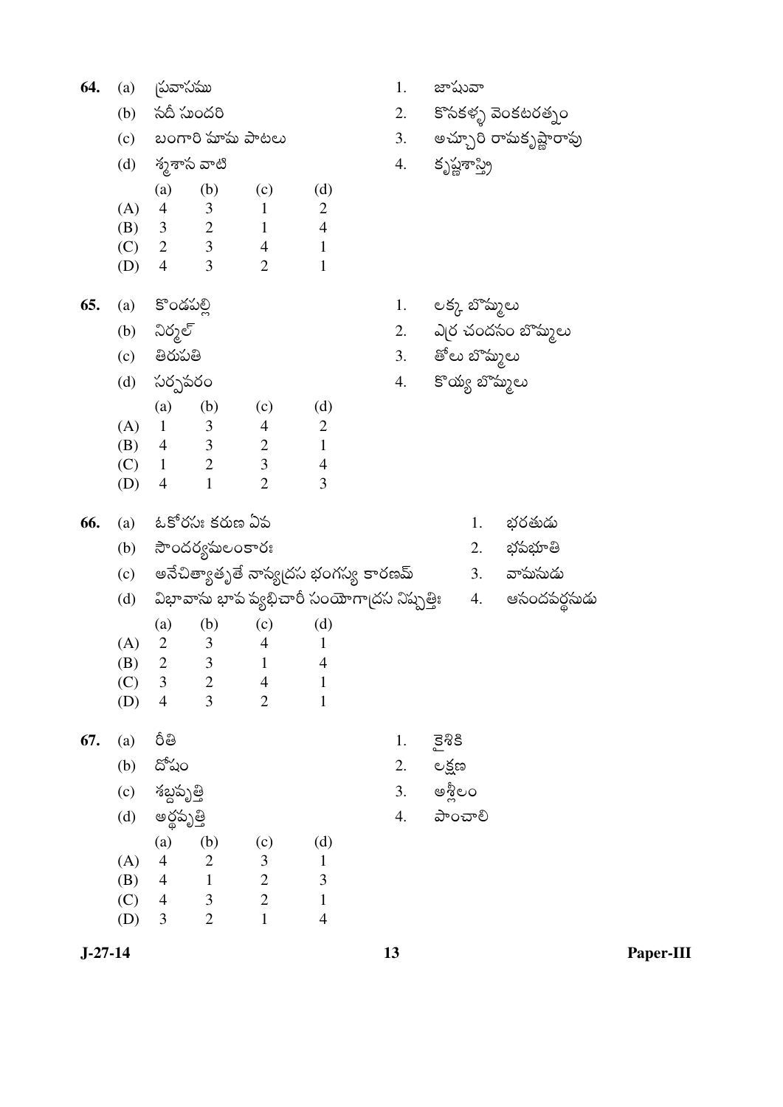| 64.       | (a)        | <b>చ్రవాసము</b>                  |                                           |                                  |                                      | 1.                                          | జాషువా          |                          |
|-----------|------------|----------------------------------|-------------------------------------------|----------------------------------|--------------------------------------|---------------------------------------------|-----------------|--------------------------|
|           | (b)        | సదీ సుందరి                       |                                           |                                  |                                      | 2.                                          |                 | కొసకళ్ళ వెంకటరత్నం       |
|           | (c)        |                                  |                                           | బంగారి హహమ పాటలు                 |                                      |                                             |                 | 3. అచ్చూరి రామకృష్ణారావు |
|           | (d)        | శ్మశాస వాటి                      |                                           |                                  |                                      | 4.                                          | కృష్ణశాస్త్రి   |                          |
|           |            | (a)                              | (b)                                       | (c)                              | (d)                                  |                                             |                 |                          |
|           | (A)        | $\overline{4}$                   | $\overline{\mathbf{3}}$                   | $\mathbf{1}$                     | $\overline{2}$                       |                                             |                 |                          |
|           |            |                                  | (B) $3 \t 2$                              | $\mathbf{1}$                     | $\overline{4}$                       |                                             |                 |                          |
|           | (C)        |                                  | $2 \qquad 3$                              | $\overline{4}$                   | $\mathbf{1}$                         |                                             |                 |                          |
|           | (D)        | $\overline{4}$                   | 3 <sup>7</sup>                            | $\overline{2}$                   | 1                                    |                                             |                 |                          |
| 65.       | (a)        | కొండపల్లి                        |                                           |                                  |                                      | 1.                                          | లక్క బొమ్మలు    |                          |
|           | (b)        | నిర్మల్                          |                                           |                                  |                                      |                                             |                 | 2. ఎౖర చందసం బొమ్మలు     |
|           | (c)        | తిరుపతి                          |                                           |                                  |                                      |                                             | 3. తోలు బొమ్మలు |                          |
|           | (d)        | సర్పవరం                          |                                           |                                  |                                      | 4.                                          | కొయ్య బొమ్మలు   |                          |
|           |            | (a)                              | (b)                                       | (c)                              | (d)                                  |                                             |                 |                          |
|           | (A)        | $\mathbf{1}$                     | $\overline{\mathbf{3}}$                   | $\overline{4}$                   | $\overline{2}$                       |                                             |                 |                          |
|           | (B)        |                                  |                                           | $4 \quad 3 \quad 2$              | $\mathbf{1}$                         |                                             |                 |                          |
|           | (C)        |                                  | $1 \qquad 2$                              | $\mathfrak{Z}$                   | $\overline{4}$                       |                                             |                 |                          |
|           | (D)        | $\overline{4}$                   | $\mathbf{1}$                              | $\overline{2}$                   | 3                                    |                                             |                 |                          |
| 66.       |            |                                  | (a) ఓకోరసుః కరుణ ఏప                       |                                  |                                      |                                             | 1.              | భరతుడు                   |
|           | (b)        |                                  | సౌందర్యమలంకారః                            |                                  |                                      |                                             | 2.              | భవభూతి                   |
|           | (c)        |                                  |                                           |                                  | అనేచిత్యాతృతే నాస్య(దస భంగస్య కారణమ్ |                                             |                 | 3. వామసుడు               |
|           | (d)        |                                  |                                           |                                  |                                      | విభావాసు భాప వ్యభిచారీ సంయోగా[దస నిష్పత్తిః |                 | 4. ఆసందపర్దసుడు          |
|           |            | (a)                              | (b)                                       | (c)                              | (d)                                  |                                             |                 |                          |
|           | (A)        | $\overline{2}$                   | 3                                         | $\overline{4}$                   | 1                                    |                                             |                 |                          |
|           | (B)        | $\overline{c}$                   | $\mathfrak{Z}$                            | $\mathbf{1}$                     | $\overline{4}$                       |                                             |                 |                          |
|           | (C)        | $\overline{3}$<br>$\overline{4}$ | $\overline{\mathbf{c}}$<br>$\overline{3}$ | $\overline{4}$<br>$\overline{2}$ | $\mathbf{1}$<br>$\mathbf{1}$         |                                             |                 |                          |
|           | (D)        |                                  |                                           |                                  |                                      |                                             |                 |                          |
| 67.       | (a)        | రీతి                             |                                           |                                  |                                      | 1.                                          | $\Xi$ 38        |                          |
|           | (b)        | దోషం                             |                                           |                                  |                                      | 2.                                          | లక్షణ           |                          |
|           | (c)        | శబ్దపృత్తి                       |                                           |                                  |                                      | 3.                                          | ဓန္တိေဝ         |                          |
|           | (d)        | అర్థపృత్తి                       |                                           |                                  |                                      | 4.                                          | <u> ಎ</u> ಂచాలి |                          |
|           |            | (a)                              | (b)                                       | (c)                              | (d)                                  |                                             |                 |                          |
|           | (A)        | $\overline{4}$<br>$\overline{4}$ | $\begin{array}{c} 2 \\ 1 \end{array}$     | $\frac{3}{2}$                    | $\mathbf 1$<br>$\mathfrak{Z}$        |                                             |                 |                          |
|           | (B)<br>(C) | $\overline{4}$                   | $\overline{\mathbf{3}}$                   | $\overline{c}$                   | $\mathbf 1$                          |                                             |                 |                          |
|           | (D)        | $\mathfrak{Z}$                   | $\overline{2}$                            | $\mathbf{1}$                     | $\overline{4}$                       |                                             |                 |                          |
|           |            |                                  |                                           |                                  |                                      |                                             |                 |                          |
| $J-27-14$ |            |                                  |                                           |                                  |                                      | 13                                          |                 |                          |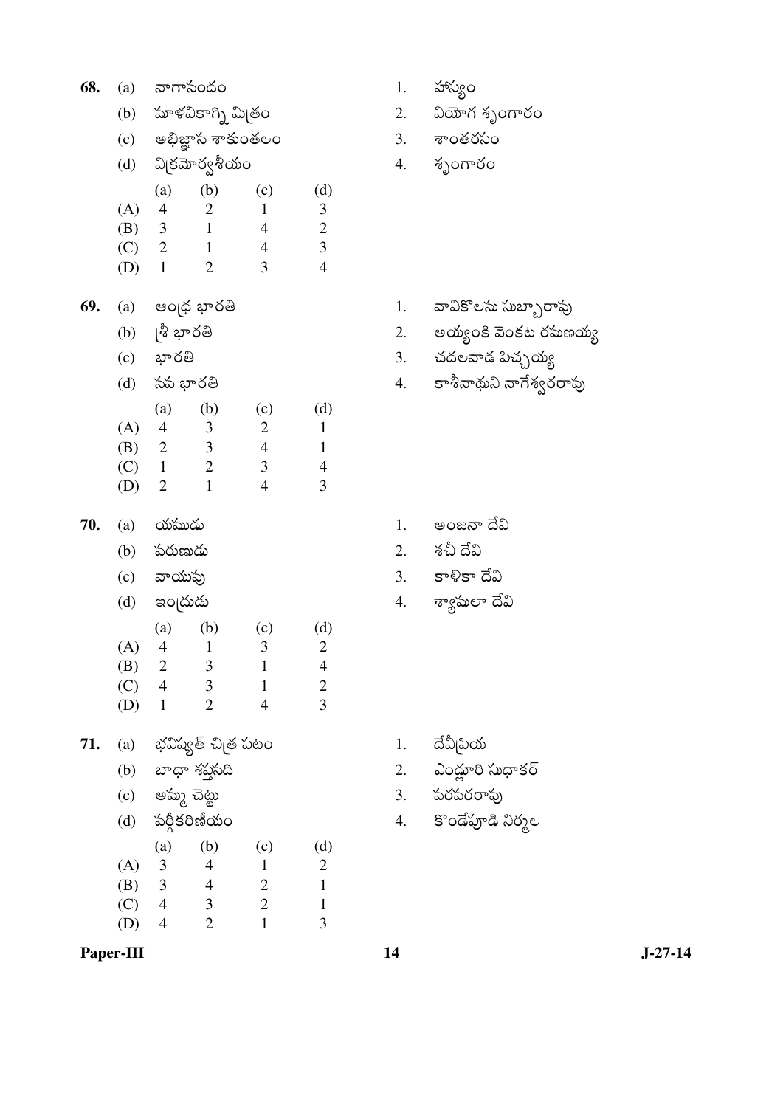| 68. | (a)                                      |                          | నాగాసందం                                           |                                |                                  |
|-----|------------------------------------------|--------------------------|----------------------------------------------------|--------------------------------|----------------------------------|
|     | (b)                                      |                          | హుళవికాగ్ని మిత్రం                                 |                                |                                  |
|     |                                          |                          | (c) అభిజ్ఞాన శాకుంతలం                              |                                |                                  |
|     |                                          |                          | (d) పిక్రమోర్వశీయం                                 |                                |                                  |
|     |                                          | (a)                      | (b)                                                | (c)                            | (d)                              |
|     | (A) 4                                    |                          | 2                                                  | $\mathbf{1}$                   | $\mathfrak{Z}$                   |
|     | (B) 3                                    |                          | $\mathbf{1}$                                       | $\overline{4}$                 | $\overline{c}$                   |
|     | $(C)$ 2<br>$(D)$ 1                       |                          | $\mathbf{1}$<br>$\overline{2}$                     | $\overline{4}$<br>3            | $\overline{3}$<br>$\overline{4}$ |
|     |                                          |                          |                                                    |                                |                                  |
| 69. |                                          |                          | (a) ఆంధ్ర భారతి                                    |                                |                                  |
|     |                                          | (b) ု శ్రీ భారతి         |                                                    |                                |                                  |
|     |                                          | (c) భారతి                |                                                    |                                |                                  |
|     |                                          | (d) సప భారతి             |                                                    |                                |                                  |
|     |                                          | (a)                      | (b)                                                | (c)                            | (d)                              |
|     |                                          | (A) 4                    | 3                                                  | $\overline{c}$                 | $\mathbf{1}$                     |
|     |                                          | (B) 2                    | $\mathfrak{Z}$                                     | $\overline{4}$                 | $\mathbf{1}$                     |
|     | $(C)$ 1                                  |                          | 2                                                  | $\mathfrak{Z}$                 | $\overline{\mathcal{A}}$         |
|     | $(D)$ 2                                  |                          | $\mathbf{1}$                                       | $\overline{4}$                 | 3                                |
|     |                                          |                          |                                                    |                                |                                  |
| 70. |                                          |                          |                                                    |                                |                                  |
|     |                                          | (a) <b>య</b> ముడు        |                                                    |                                |                                  |
|     |                                          | (b) పరుణుడు              |                                                    |                                |                                  |
|     |                                          | (c) వాయుపు               |                                                    |                                |                                  |
|     |                                          | (d) ఇం <sub>[</sub> దుడు |                                                    |                                |                                  |
|     |                                          |                          | $(a)$ $(b)$<br>$\mathbf{1}$                        | (c)<br>3                       | (d)                              |
|     | (A) 4<br>(B)                             | $\overline{2}$           | 3                                                  | $\mathbf{1}$                   | $\overline{2}$<br>$\overline{4}$ |
|     | $(C)$ 4                                  |                          | 3                                                  | $\mathbf{1}$                   | $\overline{\mathbf{c}}$          |
|     | (D)                                      | $\overline{1}$           | $\overline{2}$                                     | $\overline{4}$                 | $\overline{3}$                   |
| 71. |                                          |                          |                                                    |                                |                                  |
|     | (a)                                      |                          | భవిష్యత్ చి[త పటం                                  |                                |                                  |
|     |                                          |                          | (b) బాధా శప్తసది                                   |                                |                                  |
|     |                                          | (c) అమ్మ చెట్టు          |                                                    |                                |                                  |
|     |                                          |                          | (d) పర్గీకరిణీయం                                   |                                |                                  |
|     |                                          |                          | (b)<br>$\overline{\mathcal{A}}$                    | (c)<br>$\mathbf{1}$            | (d)                              |
|     |                                          |                          |                                                    | $\boldsymbol{2}$               | $\overline{c}$<br>$\mathbf 1$    |
|     | (A) $3$<br>(B) $3$<br>(C) $4$<br>$(D)$ 4 |                          | $\overline{a}$<br>$\mathfrak{Z}$<br>$\overline{2}$ | $\overline{c}$<br>$\mathbf{1}$ | $\mathbf{1}$<br>3                |

- 1. హాస్యం
- 2.  $2\omega$ w 1 శృంగారం
- 3. శాంతరసం
- 4. శృంగారం

- 1. వావికొలసు సుబ్బారావు
- 2. అయ్యంకి వెంకట రఘణయ్య
- 3. చదలవాడ పిచ్చయ్య
- 4.  $s^{\delta}$ శినాథుని నాగేశ్వరరావు

- $1.$  అంజనా దేవి
- 2. శచీ దేవి
- 3. కాళికా దేవి
- 4. శ్యామలా దేవి

- 1. దేవీ<sub>(</sub>పియ
- 2. ఎండ్లూరి సుధాకర్
- 3. పరపరరావు
- 4. కొండేపూడి నిర్మల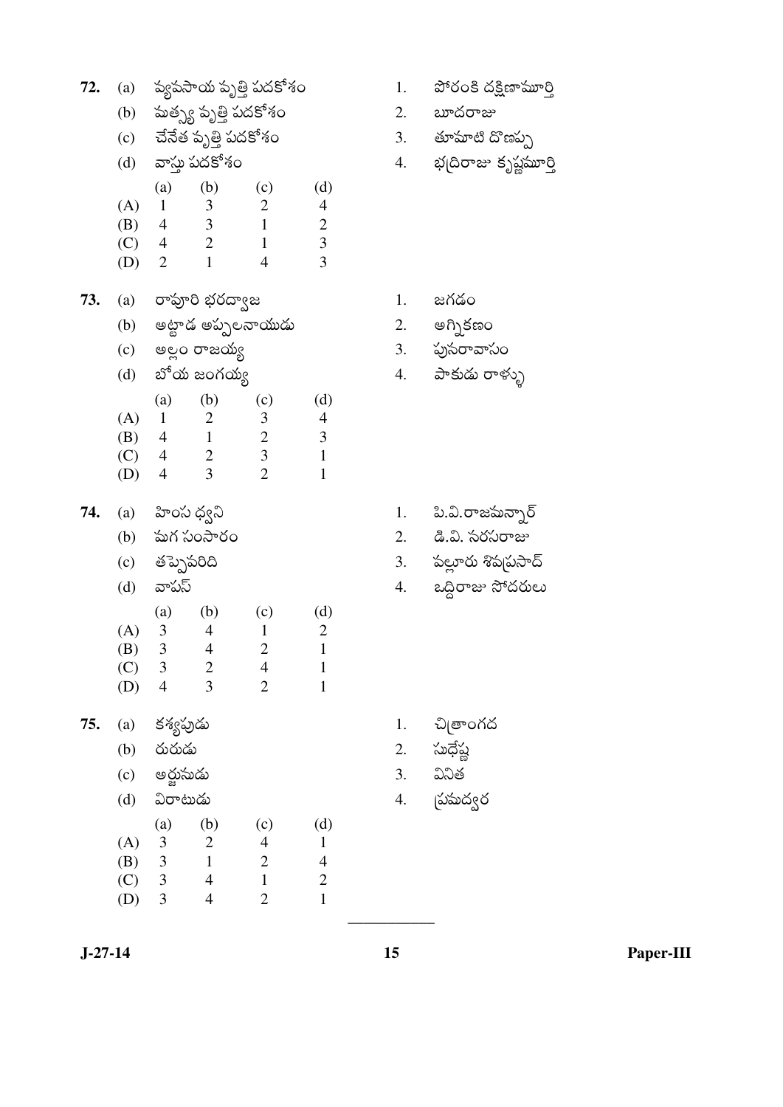| 72. | (a)                      |                                                 |                           | ష్యపసాయ పృత్తి పదకోశం            |                                |
|-----|--------------------------|-------------------------------------------------|---------------------------|----------------------------------|--------------------------------|
|     |                          |                                                 | (b) పుత్స్య పృత్తి పదకోశం |                                  |                                |
|     | (c)                      |                                                 | చేనేత పృత్తి పదకోశం       |                                  |                                |
|     | (d)                      |                                                 | వాస్తు పదకోశం             |                                  |                                |
|     |                          |                                                 | $(a)$ $(b)$               | (c)                              | (d)                            |
|     | (A) 1                    |                                                 | $\overline{\mathbf{3}}$   | $\overline{2}$                   | $\overline{\mathcal{A}}$       |
|     |                          | $(B)$ 4                                         | $\overline{\mathbf{3}}$   | $\mathbf{1}$                     | $\overline{c}$                 |
|     | $(C)$ 4                  |                                                 | $\sqrt{2}$                | $\mathbf{1}$                     | $\overline{3}$                 |
|     | $(D)$ 2                  |                                                 | $\mathbf{1}$              | 4                                | 3                              |
| 73. |                          |                                                 | (a) రావూరి భరద్వాజ        |                                  |                                |
|     | (b)                      |                                                 |                           | అట్టాడ అప్పలనాయుడు               |                                |
|     | (c)                      |                                                 | అల్లం రాజయ్య              |                                  |                                |
|     | (d)                      |                                                 | బోయ జంగయ్య                |                                  |                                |
|     |                          | (a)                                             | (b)                       | (c)                              | (d)                            |
|     |                          | (A) 1                                           | $\overline{2}$            | 3                                | 4                              |
|     |                          | $(B)$ 4                                         | $\overline{1}$            | $\overline{c}$                   | 3                              |
|     | $(C)$ 4                  |                                                 | $\overline{c}$            | $\overline{3}$<br>$\overline{2}$ | $\mathbf{1}$                   |
|     | $(D)$ 4                  |                                                 | $\overline{3}$            |                                  | 1                              |
| 74. |                          | (a) హింస ధ్వని                                  |                           |                                  |                                |
|     |                          |                                                 | (b) పుగ సంసారం            |                                  |                                |
|     |                          | (c) తప్పెపరిది                                  |                           |                                  |                                |
|     |                          |                                                 |                           |                                  |                                |
|     | (d) వాపస్                |                                                 |                           |                                  |                                |
|     |                          |                                                 | $(a)$ $(b)$               |                                  |                                |
|     | (A)                      | 3                                               | 4                         | (c)<br>1                         | (d)<br>2                       |
|     | (B)                      | 3                                               | $\overline{4}$            | $\overline{2}$                   | $\mathbf{1}$                   |
|     | (C)                      | 3                                               | $\overline{\mathbf{c}}$   | $\overline{4}$                   | 1                              |
|     | (D)                      | $\overline{4}$                                  | 3                         | $\overline{c}$                   | $\mathbf{1}$                   |
| 75. | $\left( \text{a}\right)$ |                                                 |                           |                                  |                                |
|     | (b)                      | కశ్యపుడు<br>రురుడు                              |                           |                                  |                                |
|     | (c)                      | అర్జుసుడు                                       |                           |                                  |                                |
|     | (d)                      | విరాటుడు                                        |                           |                                  |                                |
|     |                          |                                                 | (b)                       |                                  |                                |
|     | (A)                      | (a)                                             | $\overline{\mathbf{c}}$   | (c)<br>$\overline{\mathcal{L}}$  | (d)<br>$\mathbf{1}$            |
|     | (B)                      |                                                 | $\mathbf{1}$              |                                  | $\overline{4}$                 |
|     | (C)<br>(D)               | $\begin{array}{c} 3 \\ 3 \\ 3 \\ 3 \end{array}$ | $\overline{4}$<br>4       | $\frac{2}{1}$<br>$\overline{2}$  | $\overline{c}$<br>$\mathbf{1}$ |

- 1. పోరంకి దక్షిణామూర్తి
- 2.  $av\sim$
- 3. తూమాటి దొణప్ప
- 4. భద్రిరాజు కృష్ణమూర్తి

- $1.$  జగడం
- 
- 2. అగ్నికణం<br>3. పుసరావాసం
- 4. పాకుడు రాళ్ళు
- 1. పి.వి.రాజమన్నార్
- 2. డి.వి. సరసరాజు
- 3. పల్లూరు శివ్నసాద్
- 4. ఒద్దిరాజు సోదరులు

- 1. చిత్రాంగద
- 2. సుధేష్ణ
- వినిత  $3.$
- దుపుద్వర<br>*-* $4.$